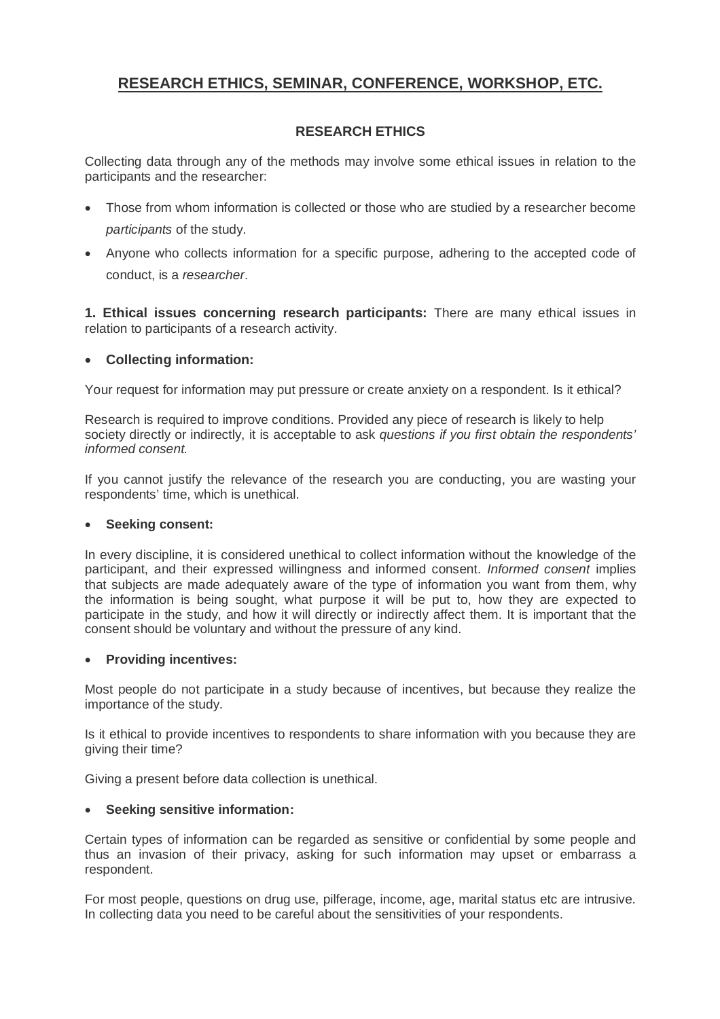# **RESEARCH ETHICS, SEMINAR, CONFERENCE, WORKSHOP, ETC.**

# **RESEARCH ETHICS**

Collecting data through any of the methods may involve some ethical issues in relation to the participants and the researcher:

- Those from whom information is collected or those who are studied by a researcher become *participants* of the study.
- Anyone who collects information for a specific purpose, adhering to the accepted code of conduct, is a *researcher*.

**1. Ethical issues concerning research participants:** There are many ethical issues in relation to participants of a research activity.

# **Collecting information:**

Your request for information may put pressure or create anxiety on a respondent. Is it ethical?

Research is required to improve conditions. Provided any piece of research is likely to help society directly or indirectly, it is acceptable to ask *questions if you first obtain the respondents' informed consent.*

If you cannot justify the relevance of the research you are conducting, you are wasting your respondents' time, which is unethical.

# **Seeking consent:**

In every discipline, it is considered unethical to collect information without the knowledge of the participant, and their expressed willingness and informed consent. *Informed consent* implies that subjects are made adequately aware of the type of information you want from them, why the information is being sought, what purpose it will be put to, how they are expected to participate in the study, and how it will directly or indirectly affect them. It is important that the consent should be voluntary and without the pressure of any kind.

#### **Providing incentives:**

Most people do not participate in a study because of incentives, but because they realize the importance of the study.

Is it ethical to provide incentives to respondents to share information with you because they are giving their time?

Giving a present before data collection is unethical.

# **Seeking sensitive information:**

Certain types of information can be regarded as sensitive or confidential by some people and thus an invasion of their privacy, asking for such information may upset or embarrass a respondent.

For most people, questions on drug use, pilferage, income, age, marital status etc are intrusive. In collecting data you need to be careful about the sensitivities of your respondents.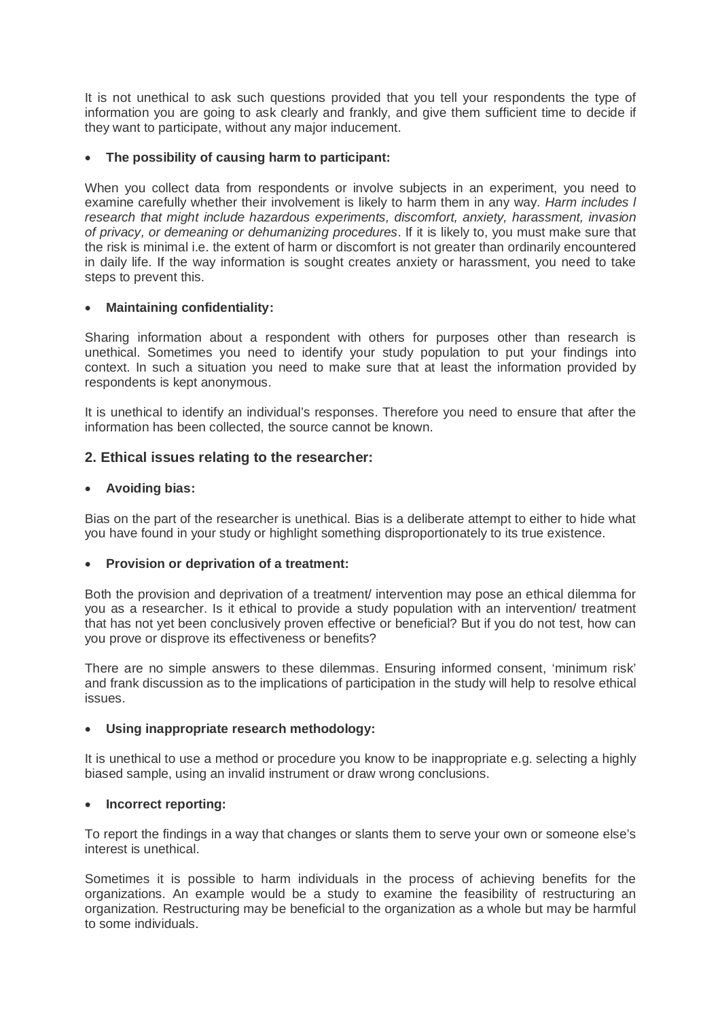It is not unethical to ask such questions provided that you tell your respondents the type of information you are going to ask clearly and frankly, and give them sufficient time to decide if they want to participate, without any major inducement.

#### **The possibility of causing harm to participant:**

When you collect data from respondents or involve subjects in an experiment, you need to examine carefully whether their involvement is likely to harm them in any way. *Harm includes l research that might include hazardous experiments, discomfort, anxiety, harassment, invasion of privacy, or demeaning or dehumanizing procedures*. If it is likely to, you must make sure that the risk is minimal i.e. the extent of harm or discomfort is not greater than ordinarily encountered in daily life. If the way information is sought creates anxiety or harassment, you need to take steps to prevent this.

#### **Maintaining confidentiality:**

Sharing information about a respondent with others for purposes other than research is unethical. Sometimes you need to identify your study population to put your findings into context. In such a situation you need to make sure that at least the information provided by respondents is kept anonymous.

It is unethical to identify an individual's responses. Therefore you need to ensure that after the information has been collected, the source cannot be known.

# **2. Ethical issues relating to the researcher:**

#### **Avoiding bias:**

Bias on the part of the researcher is unethical. Bias is a deliberate attempt to either to hide what you have found in your study or highlight something disproportionately to its true existence.

#### **Provision or deprivation of a treatment:**

Both the provision and deprivation of a treatment/ intervention may pose an ethical dilemma for you as a researcher. Is it ethical to provide a study population with an intervention/ treatment that has not yet been conclusively proven effective or beneficial? But if you do not test, how can you prove or disprove its effectiveness or benefits?

There are no simple answers to these dilemmas. Ensuring informed consent, 'minimum risk' and frank discussion as to the implications of participation in the study will help to resolve ethical issues.

#### **Using inappropriate research methodology:**

It is unethical to use a method or procedure you know to be inappropriate e.g. selecting a highly biased sample, using an invalid instrument or draw wrong conclusions.

#### **Incorrect reporting:**

To report the findings in a way that changes or slants them to serve your own or someone else's interest is unethical.

Sometimes it is possible to harm individuals in the process of achieving benefits for the organizations. An example would be a study to examine the feasibility of restructuring an organization. Restructuring may be beneficial to the organization as a whole but may be harmful to some individuals.